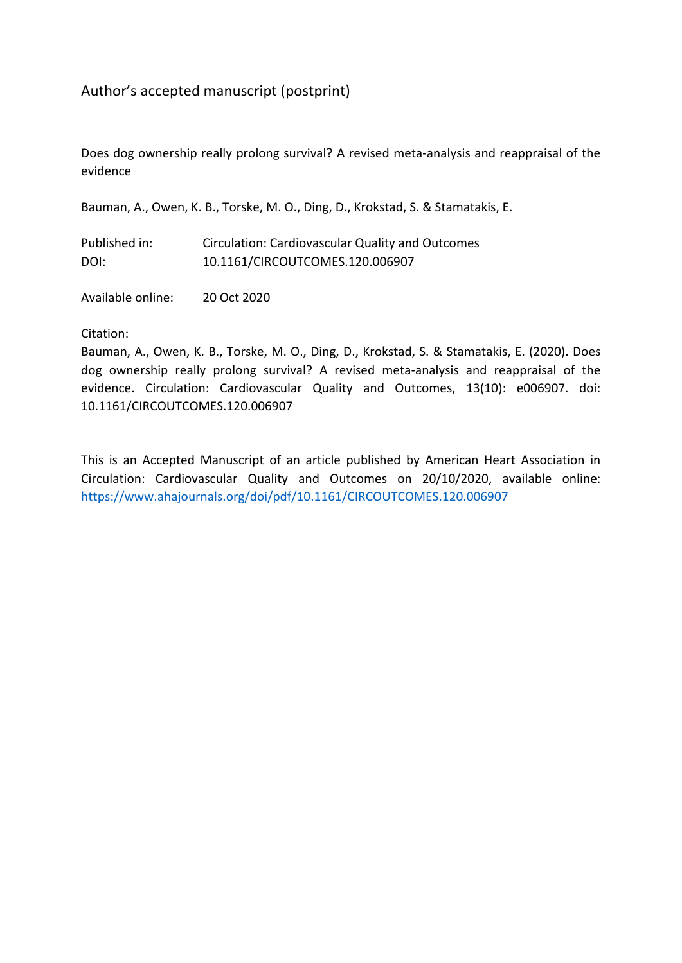# Author's accepted manuscript (postprint)

Does dog ownership really prolong survival? A revised meta-analysis and reappraisal of the evidence

Bauman, A., Owen, K. B., Torske, M. O., Ding, D., Krokstad, S. & Stamatakis, E.

| Published in: | Circulation: Cardiovascular Quality and Outcomes |
|---------------|--------------------------------------------------|
| DOI:          | 10.1161/CIRCOUTCOMES.120.006907                  |

Available online: 20 Oct 2020

Citation:

Bauman, A., Owen, K. B., Torske, M. O., Ding, D., Krokstad, S. & Stamatakis, E. (2020). Does dog ownership really prolong survival? A revised meta-analysis and reappraisal of the evidence. Circulation: Cardiovascular Quality and Outcomes, 13(10): e006907. doi: 10.1161/CIRCOUTCOMES.120.006907

This is an Accepted Manuscript of an article published by American Heart Association in Circulation: Cardiovascular Quality and Outcomes on 20/10/2020, available online: <https://www.ahajournals.org/doi/pdf/10.1161/CIRCOUTCOMES.120.006907>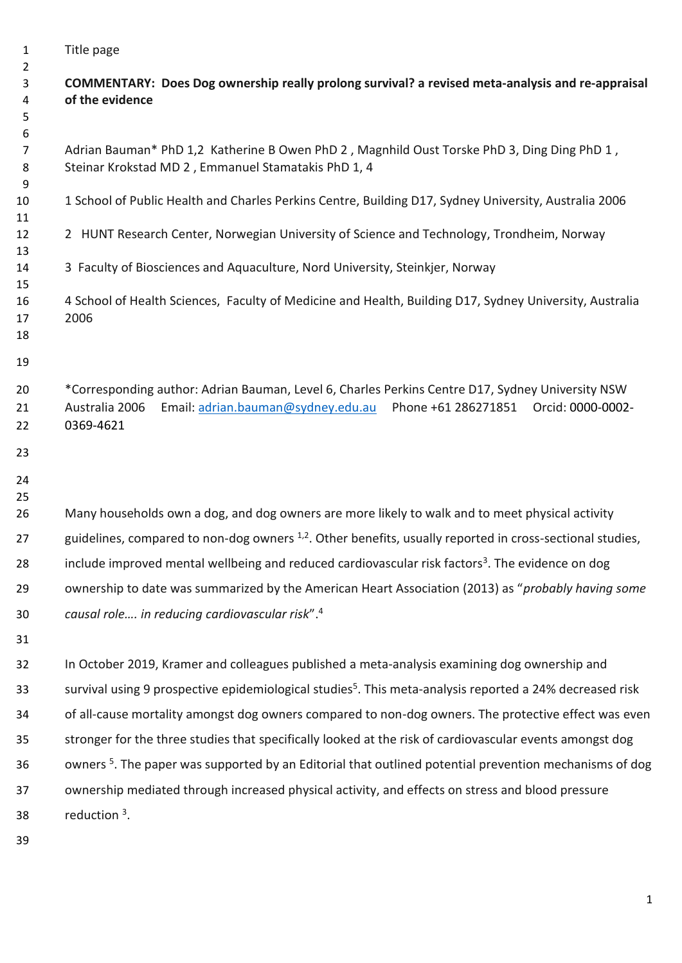Title page

# **COMMENTARY: Does Dog ownership really prolong survival? a revised meta-analysis and re-appraisal of the evidence**

 

 Adrian Bauman\* PhD 1,2 Katherine B Owen PhD 2 , Magnhild Oust Torske PhD 3, Ding Ding PhD 1 , Steinar Krokstad MD 2 , Emmanuel Stamatakis PhD 1, 4

- 1 School of Public Health and Charles Perkins Centre, Building D17, Sydney University, Australia 2006
- 2 HUNT Research Center, Norwegian University of Science and Technology, Trondheim, Norway
- 3 Faculty of Biosciences and Aquaculture, Nord University, Steinkjer, Norway
- 4 School of Health Sciences, Faculty of Medicine and Health, Building D17, Sydney University, Australia 2006
- 
- 

 \*Corresponding author: Adrian Bauman, Level 6, Charles Perkins Centre D17, Sydney University NSW Australia 2006 Email: [adrian.bauman@sydney.edu.au](mailto:adrian.bauman@sydney.edu.au) Phone +61 286271851 Orcid: 0000-0002- 0369-4621

- 
- 

26 Many households own a dog, and dog owners are more likely to walk and to meet physical activity 27 guidelines, compared to non-dog owners  $1,2$ . Other benefits, usually reported in cross-sectional studies, 28 include improved mental wellbeing and reduced cardiovascular risk factors<sup>3</sup>. The evidence on dog ownership to date was summarized by the American Heart Association (2013) as "*probably having some causal role…. in reducing cardiovascular risk*".<sup>4</sup>

 In October 2019, Kramer and colleagues published a meta-analysis examining dog ownership and survival using 9 prospective epidemiological studies<sup>5</sup>. This meta-analysis reported a 24% decreased risk of all-cause mortality amongst dog owners compared to non-dog owners. The protective effect was even stronger for the three studies that specifically looked at the risk of cardiovascular events amongst dog 36 owners <sup>5</sup>. The paper was supported by an Editorial that outlined potential prevention mechanisms of dog ownership mediated through increased physical activity, and effects on stress and blood pressure  $\frac{1}{2}$  reduction <sup>3</sup>.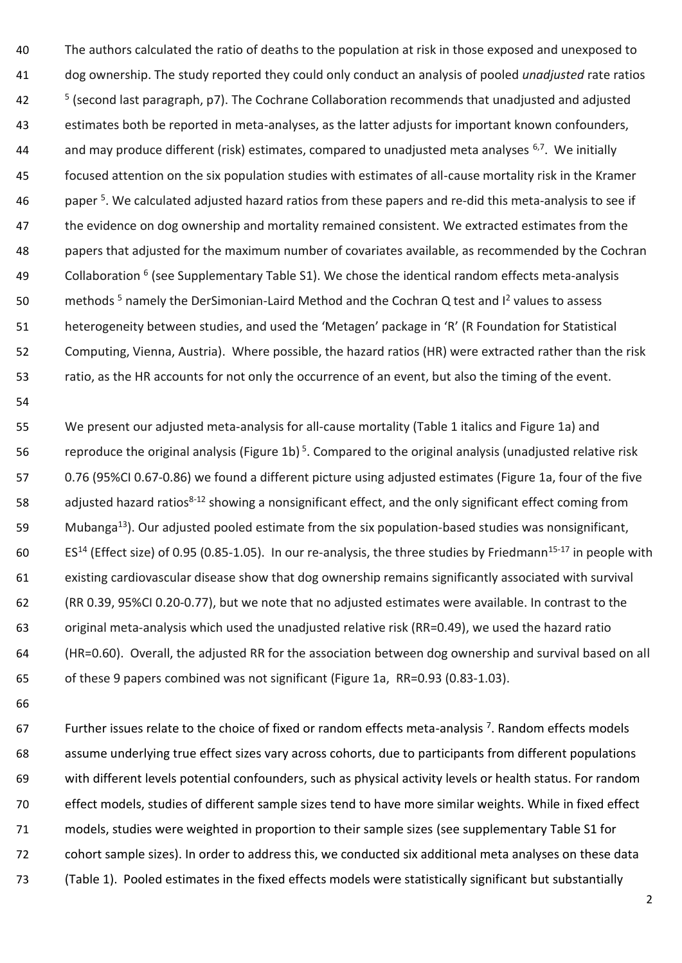The authors calculated the ratio of deaths to the population at risk in those exposed and unexposed to dog ownership. The study reported they could only conduct an analysis of pooled *unadjusted* rate ratios (second last paragraph, p7). The Cochrane Collaboration recommends that unadjusted and adjusted estimates both be reported in meta-analyses, as the latter adjusts for important known confounders, and may produce different (risk) estimates, compared to unadjusted meta analyses  $6,7$ . We initially focused attention on the six population studies with estimates of all-cause mortality risk in the Kramer 46 . paper <sup>5</sup>. We calculated adjusted hazard ratios from these papers and re-did this meta-analysis to see if 47 the evidence on dog ownership and mortality remained consistent. We extracted estimates from the papers that adjusted for the maximum number of covariates available, as recommended by the Cochran 49 Collaboration <sup>6</sup> (see Supplementary Table S1). We chose the identical random effects meta-analysis 50 methods <sup>5</sup> namely the DerSimonian-Laird Method and the Cochran Q test and  $I^2$  values to assess heterogeneity between studies, and used the 'Metagen' package in 'R' (R Foundation for Statistical Computing, Vienna, Austria). Where possible, the hazard ratios (HR) were extracted rather than the risk ratio, as the HR accounts for not only the occurrence of an event, but also the timing of the event.

 We present our adjusted meta-analysis for all-cause mortality (Table 1 italics and Figure 1a) and 56 reproduce the original analysis (Figure 1b)<sup>5</sup>. Compared to the original analysis (unadjusted relative risk 0.76 (95%CI 0.67-0.86) we found a different picture using adjusted estimates (Figure 1a, four of the five 58 adjusted hazard ratios<sup>8-12</sup> showing a nonsignificant effect, and the only significant effect coming from 59 Mubanga<sup>13</sup>). Our adjusted pooled estimate from the six population-based studies was nonsignificant,  $E$ <sub>514</sub> (Effect size) of 0.95 (0.85-1.05). In our re-analysis, the three studies by Friedmann<sup>15-17</sup> in people with existing cardiovascular disease show that dog ownership remains significantly associated with survival (RR 0.39, 95%CI 0.20-0.77), but we note that no adjusted estimates were available. In contrast to the original meta-analysis which used the unadjusted relative risk (RR=0.49), we used the hazard ratio (HR=0.60). Overall, the adjusted RR for the association between dog ownership and survival based on all of these 9 papers combined was not significant (Figure 1a, RR=0.93 (0.83-1.03).

67 Further issues relate to the choice of fixed or random effects meta-analysis . Random effects models assume underlying true effect sizes vary across cohorts, due to participants from different populations with different levels potential confounders, such as physical activity levels or health status. For random effect models, studies of different sample sizes tend to have more similar weights. While in fixed effect models, studies were weighted in proportion to their sample sizes (see supplementary Table S1 for cohort sample sizes). In order to address this, we conducted six additional meta analyses on these data (Table 1). Pooled estimates in the fixed effects models were statistically significant but substantially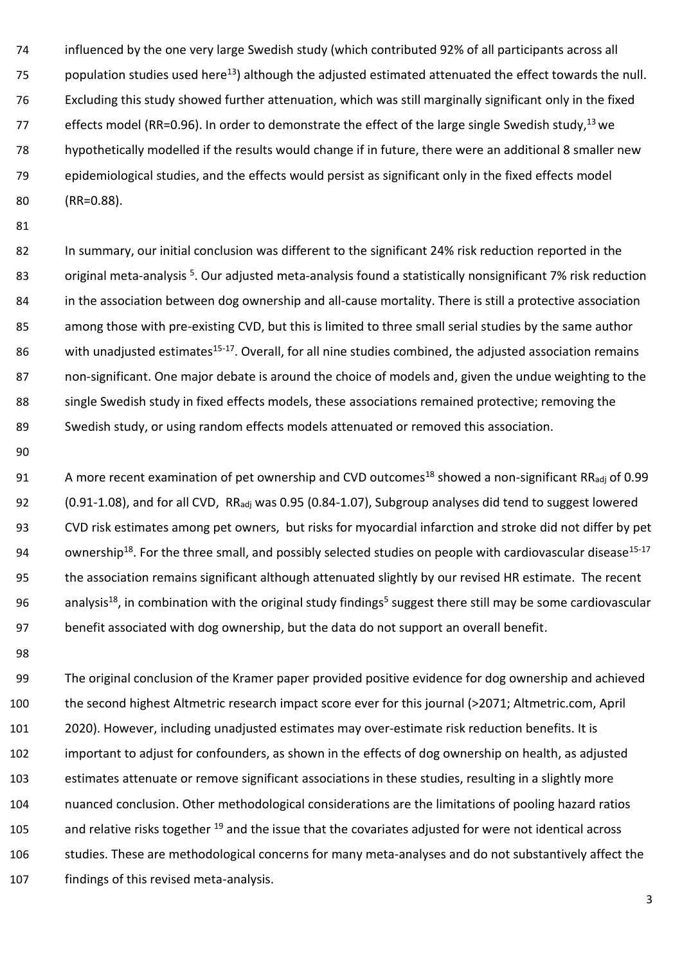influenced by the one very large Swedish study (which contributed 92% of all participants across all 75 population studies used here<sup>13</sup>) although the adjusted estimated attenuated the effect towards the null. Excluding this study showed further attenuation, which was still marginally significant only in the fixed 77 effects model (RR=0.96). In order to demonstrate the effect of the large single Swedish study,  $^{13}$  we hypothetically modelled if the results would change if in future, there were an additional 8 smaller new epidemiological studies, and the effects would persist as significant only in the fixed effects model (RR=0.88).

82 In summary, our initial conclusion was different to the significant 24% risk reduction reported in the 83 original meta-analysis <sup>5</sup>. Our adjusted meta-analysis found a statistically nonsignificant 7% risk reduction in the association between dog ownership and all-cause mortality. There is still a protective association 85 among those with pre-existing CVD, but this is limited to three small serial studies by the same author 86 with unadjusted estimates<sup>15-17</sup>. Overall, for all nine studies combined, the adjusted association remains non-significant. One major debate is around the choice of models and, given the undue weighting to the single Swedish study in fixed effects models, these associations remained protective; removing the Swedish study, or using random effects models attenuated or removed this association.

91 A more recent examination of pet ownership and CVD outcomes<sup>18</sup> showed a non-significant RR<sub>adj</sub> of 0.99 92 (0.91-1.08), and for all CVD, RR<sub>adj</sub> was 0.95 (0.84-1.07), Subgroup analyses did tend to suggest lowered CVD risk estimates among pet owners, but risks for myocardial infarction and stroke did not differ by pet 94 ownership<sup>18</sup>. For the three small, and possibly selected studies on people with cardiovascular disease<sup>15-17</sup> 95 the association remains significant although attenuated slightly by our revised HR estimate. The recent 96 analysis<sup>18</sup>, in combination with the original study findings<sup>5</sup> suggest there still may be some cardiovascular benefit associated with dog ownership, but the data do not support an overall benefit.

 The original conclusion of the Kramer paper provided positive evidence for dog ownership and achieved the second highest Altmetric research impact score ever for this journal (>2071; Altmetric.com, April 2020). However, including unadjusted estimates may over-estimate risk reduction benefits. It is important to adjust for confounders, as shown in the effects of dog ownership on health, as adjusted estimates attenuate or remove significant associations in these studies, resulting in a slightly more nuanced conclusion. Other methodological considerations are the limitations of pooling hazard ratios and relative risks together <sup>19</sup> and the issue that the covariates adjusted for were not identical across studies. These are methodological concerns for many meta-analyses and do not substantively affect the findings of this revised meta-analysis.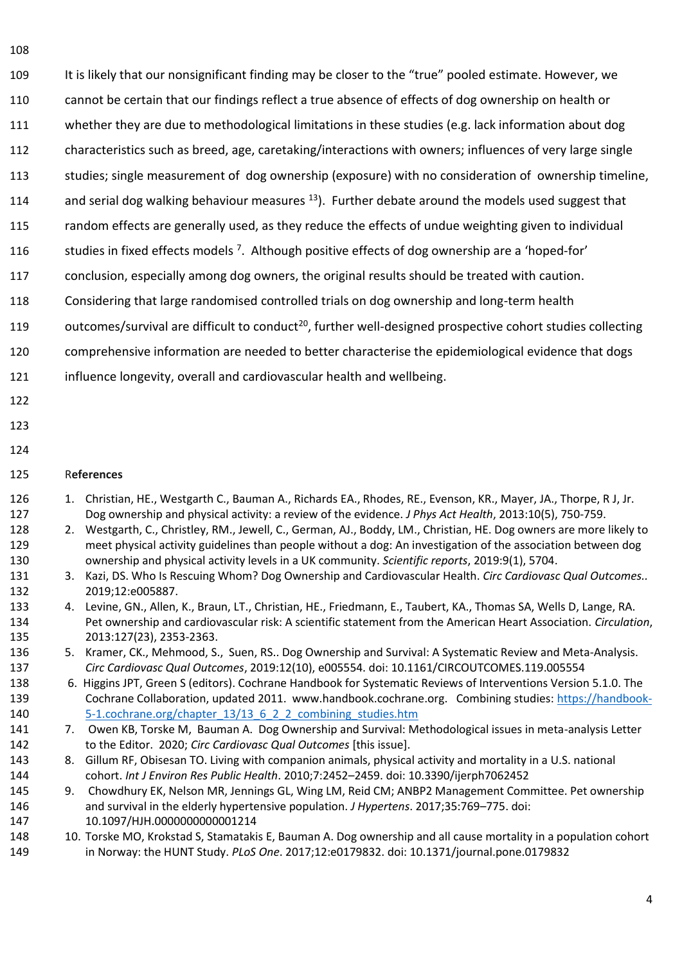It is likely that our nonsignificant finding may be closer to the "true" pooled estimate. However, we

- cannot be certain that our findings reflect a true absence of effects of dog ownership on health or
- whether they are due to methodological limitations in these studies (e.g. lack information about dog
- characteristics such as breed, age, caretaking/interactions with owners; influences of very large single
- studies; single measurement of dog ownership (exposure) with no consideration of ownership timeline,
- 114 and serial dog walking behaviour measures  $^{13}$ ). Further debate around the models used suggest that
- random effects are generally used, as they reduce the effects of undue weighting given to individual
- studies in fixed effects models <sup>7</sup>. Although positive effects of dog ownership are a 'hoped-for'
- conclusion, especially among dog owners, the original results should be treated with caution.
- Considering that large randomised controlled trials on dog ownership and long-term health
- 119 outcomes/survival are difficult to conduct<sup>20</sup>, further well-designed prospective cohort studies collecting
- comprehensive information are needed to better characterise the epidemiological evidence that dogs
- influence longevity, overall and cardiovascular health and wellbeing.
- 
- 

#### R**eferences**

- 1. Christian, HE., Westgarth C., Bauman A., Richards EA., Rhodes, RE., Evenson, KR., Mayer, JA., Thorpe, R J, Jr. Dog ownership and physical activity: a review of the evidence. *J Phys Act Health*, 2013:10(5), 750-759.
- 2. Westgarth, C., Christley, RM., Jewell, C., German, AJ., Boddy, LM., Christian, HE. Dog owners are more likely to meet physical activity guidelines than people without a dog: An investigation of the association between dog ownership and physical activity levels in a UK community. *Scientific reports*, 2019:9(1), 5704.
- 3. Kazi, DS. Who Is Rescuing Whom? Dog Ownership and Cardiovascular Health. *Circ Cardiovasc Qual Outcomes..*  2019;12:e005887.
- 4. Levine, GN., Allen, K., Braun, LT., Christian, HE., Friedmann, E., Taubert, KA., Thomas SA, Wells D, Lange, RA. Pet ownership and cardiovascular risk: A scientific statement from the American Heart Association. *Circulation*, 2013:127(23), 2353-2363.
- 5. Kramer, CK., Mehmood, S., Suen, RS.. Dog Ownership and Survival: A Systematic Review and Meta-Analysis. *Circ Cardiovasc Qual Outcomes*, 2019:12(10), e005554. doi: 10.1161/CIRCOUTCOMES.119.005554
- 6. Higgins JPT, Green S (editors). Cochrane Handbook for Systematic Reviews of Interventions Version 5.1.0. The Cochrane Collaboration, updated 2011. www.handbook.cochrane.org. Combining studies: [https://handbook-](https://handbook-5-1.cochrane.org/chapter_13/13_6_2_2_combining_studies.htm)[5-1.cochrane.org/chapter\\_13/13\\_6\\_2\\_2\\_combining\\_studies.htm](https://handbook-5-1.cochrane.org/chapter_13/13_6_2_2_combining_studies.htm)
- 7. Owen KB, Torske M, Bauman A. Dog Ownership and Survival: Methodological issues in meta-analysis Letter to the Editor. 2020; *Circ Cardiovasc Qual Outcomes* [this issue].
- 8. Gillum RF, Obisesan TO. Living with companion animals, physical activity and mortality in a U.S. national cohort. *Int J Environ Res Public Health*. 2010;7:2452–2459. doi: 10.3390/ijerph7062452
- 9. Chowdhury EK, Nelson MR, Jennings GL, Wing LM, Reid CM; ANBP2 Management Committee. Pet ownership and survival in the elderly hypertensive population. *J Hypertens*. 2017;35:769–775. doi: 10.1097/HJH.0000000000001214
- 10. Torske MO, Krokstad S, Stamatakis E, Bauman A. Dog ownership and all cause mortality in a population cohort in Norway: the HUNT Study. *PLoS One*. 2017;12:e0179832. doi: 10.1371/journal.pone.0179832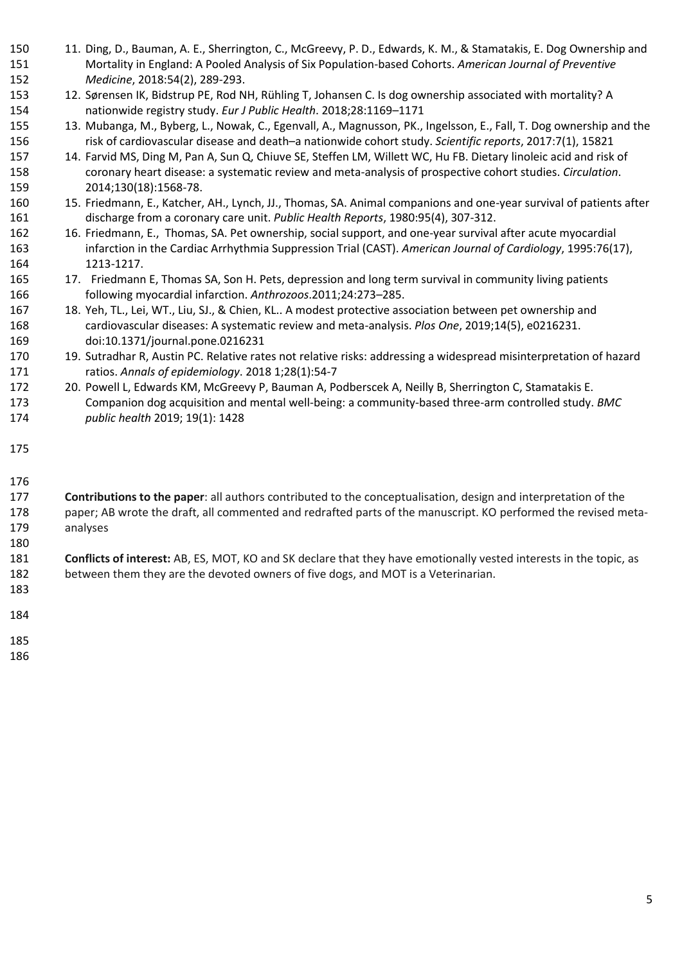- 11. Ding, D., Bauman, A. E., Sherrington, C., McGreevy, P. D., Edwards, K. M., & Stamatakis, E. Dog Ownership and Mortality in England: A Pooled Analysis of Six Population-based Cohorts. *American Journal of Preventive Medicine*, 2018:54(2), 289-293.
- 12. Sørensen IK, Bidstrup PE, Rod NH, Rühling T, Johansen C. Is dog ownership associated with mortality? A nationwide registry study. *Eur J Public Health*. 2018;28:1169–1171
- 13. Mubanga, M., Byberg, L., Nowak, C., Egenvall, A., Magnusson, PK., Ingelsson, E., Fall, T. Dog ownership and the risk of cardiovascular disease and death–a nationwide cohort study. *Scientific reports*, 2017:7(1), 15821
- 14. Farvid MS, Ding M, Pan A, Sun Q, Chiuve SE, Steffen LM, Willett WC, Hu FB. Dietary linoleic acid and risk of coronary heart disease: a systematic review and meta-analysis of prospective cohort studies. *Circulation*. 2014;130(18):1568-78.
- 15. Friedmann, E., Katcher, AH., Lynch, JJ., Thomas, SA. Animal companions and one-year survival of patients after discharge from a coronary care unit. *Public Health Reports*, 1980:95(4), 307-312.
- 16. Friedmann, E., Thomas, SA. Pet ownership, social support, and one-year survival after acute myocardial infarction in the Cardiac Arrhythmia Suppression Trial (CAST). *American Journal of Cardiology*, 1995:76(17), 1213-1217.
- 17. Friedmann E, Thomas SA, Son H. Pets, depression and long term survival in community living patients following myocardial infarction. *Anthrozoos*.2011;24:273–285.
- 167 18. Yeh, TL., Lei, WT., Liu, SJ., & Chien, KL.. A modest protective association between pet ownership and cardiovascular diseases: A systematic review and meta-analysis. *Plos One*, 2019;14(5), e0216231. doi:10.1371/journal.pone.0216231
- 19. Sutradhar R, Austin PC. Relative rates not relative risks: addressing a widespread misinterpretation of hazard ratios. *Annals of epidemiology*. 2018 1;28(1):54-7
- 20. Powell L, Edwards KM, McGreevy P, Bauman A, Podberscek A, Neilly B, Sherrington C, Stamatakis E. Companion dog acquisition and mental well-being: a community-based three-arm controlled study. *BMC public health* 2019; 19(1): 1428
- 

 **Contributions to the paper**: all authors contributed to the conceptualisation, design and interpretation of the paper; AB wrote the draft, all commented and redrafted parts of the manuscript. KO performed the revised meta-analyses

 **Conflicts of interest:** AB, ES, MOT, KO and SK declare that they have emotionally vested interests in the topic, as between them they are the devoted owners of five dogs, and MOT is a Veterinarian.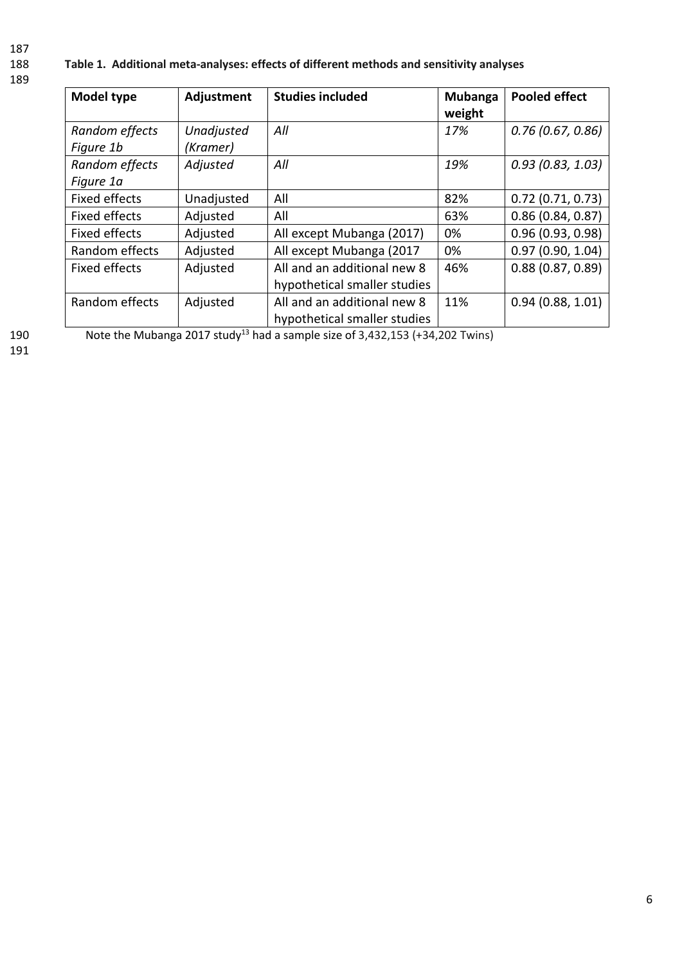187

### 188 **Table 1. Additional meta-analyses: effects of different methods and sensitivity analyses**

189

| <b>Model type</b> | Adjustment | <b>Studies included</b>      | Mubanga | <b>Pooled effect</b> |
|-------------------|------------|------------------------------|---------|----------------------|
|                   |            |                              | weight  |                      |
| Random effects    | Unadjusted | All                          | 17%     | 0.76(0.67, 0.86)     |
| Figure 1b         | (Kramer)   |                              |         |                      |
| Random effects    | Adjusted   | All                          | 19%     | 0.93(0.83, 1.03)     |
| Figure 1a         |            |                              |         |                      |
| Fixed effects     | Unadjusted | All                          | 82%     | 0.72(0.71, 0.73)     |
| Fixed effects     | Adjusted   | All                          | 63%     | 0.86(0.84, 0.87)     |
| Fixed effects     | Adjusted   | All except Mubanga (2017)    | 0%      | 0.96(0.93, 0.98)     |
| Random effects    | Adjusted   | All except Mubanga (2017     | 0%      | 0.97(0.90, 1.04)     |
| Fixed effects     | Adjusted   | All and an additional new 8  | 46%     | 0.88(0.87, 0.89)     |
|                   |            | hypothetical smaller studies |         |                      |
| Random effects    | Adjusted   | All and an additional new 8  | 11%     | 0.94(0.88, 1.01)     |
|                   |            | hypothetical smaller studies |         |                      |

190 Note the Mubanga 2017 study<sup>13</sup> had a sample size of 3,432,153 (+34,202 Twins)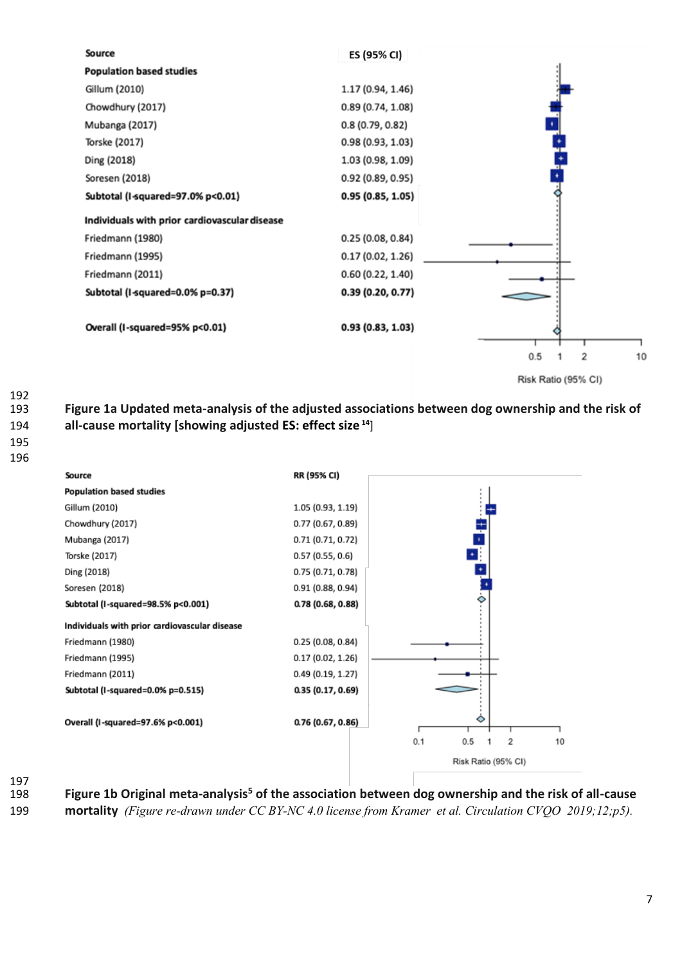

192<br>193 **Figure 1a Updated meta-analysis of the adjusted associations between dog ownership and the risk of all-cause mortality [showing adjusted ES: effect size <sup>14</sup>** ]



197<br>198

Figure 1b Original meta-analysis<sup>5</sup> of the association between dog ownership and the risk of all-cause **mortality** *(Figure re-drawn under CC BY-NC 4.0 license from Kramer et al. Circulation CVQO 2019;12;p5).*